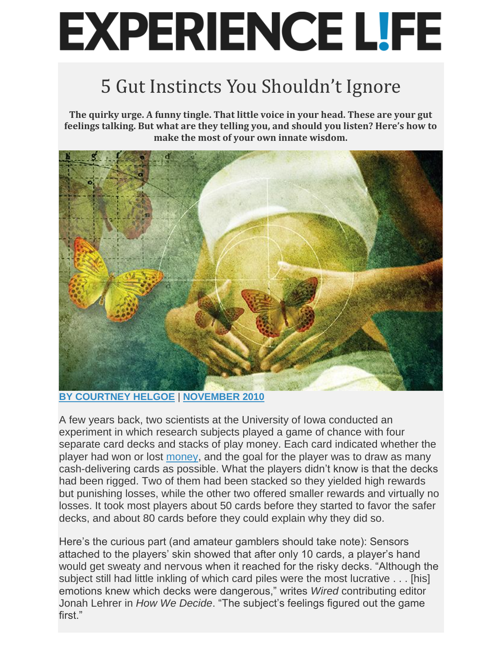# **EXPERIENCE LIFE**

# 5 Gut Instincts You Shouldn't Ignore

**The quirky urge. A funny tingle. That little voice in your head. These are your gut feelings talking. But what are they telling you, and should you listen? Here's how to make the most of your own innate wisdom.**



# **[BY COURTNEY HELGOE](https://experiencelife.com/author/Courtney-Helgoe/)** | **[NOVEMBER 2010](https://experiencelife.com/issues/november-2010)**

A few years back, two scientists at the University of Iowa conducted an experiment in which research subjects played a game of chance with four separate card decks and stacks of play money. Each card indicated whether the player had won or lost [money,](https://experiencelife.com/article/mindful-money/) and the goal for the player was to draw as many cash-delivering cards as possible. What the players didn't know is that the decks had been rigged. Two of them had been stacked so they yielded high rewards but punishing losses, while the other two offered smaller rewards and virtually no losses. It took most players about 50 cards before they started to favor the safer decks, and about 80 cards before they could explain why they did so.

Here's the curious part (and amateur gamblers should take note): Sensors attached to the players' skin showed that after only 10 cards, a player's hand would get sweaty and nervous when it reached for the risky decks. "Although the subject still had little inkling of which card piles were the most lucrative . . . [his] emotions knew which decks were dangerous," writes *Wired* contributing editor Jonah Lehrer in *How We Decide*. "The subject's feelings figured out the game first."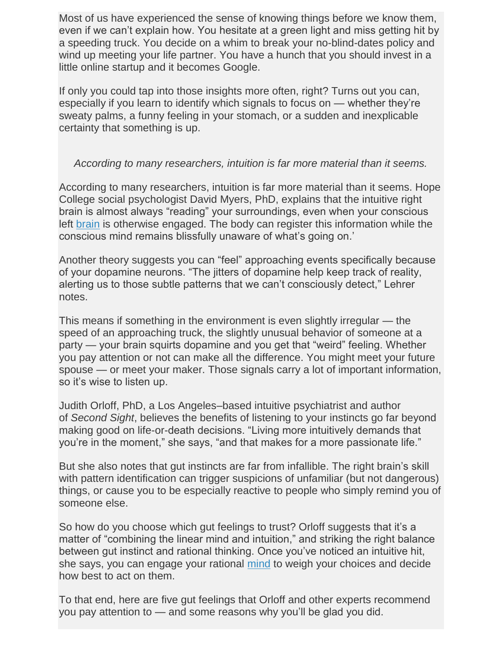Most of us have experienced the sense of knowing things before we know them, even if we can't explain how. You hesitate at a green light and miss getting hit by a speeding truck. You decide on a whim to break your no-blind-dates policy and wind up meeting your life partner. You have a hunch that you should invest in a little online startup and it becomes Google.

If only you could tap into those insights more often, right? Turns out you can, especially if you learn to identify which signals to focus on — whether they're sweaty palms, a funny feeling in your stomach, or a sudden and inexplicable certainty that something is up.

#### *According to many researchers, intuition is far more material than it seems.*

According to many researchers, intuition is far more material than it seems. Hope College social psychologist David Myers, PhD, explains that the intuitive right brain is almost always "reading" your surroundings, even when your conscious left [brain](https://experiencelife.com/article/healthy-brain-food/) is otherwise engaged. The body can register this information while the conscious mind remains blissfully unaware of what's going on.'

Another theory suggests you can "feel" approaching events specifically because of your dopamine neurons. "The jitters of dopamine help keep track of reality, alerting us to those subtle patterns that we can't consciously detect," Lehrer notes.

This means if something in the environment is even slightly irregular — the speed of an approaching truck, the slightly unusual behavior of someone at a party — your brain squirts dopamine and you get that "weird" feeling. Whether you pay attention or not can make all the difference. You might meet your future spouse — or meet your maker. Those signals carry a lot of important information, so it's wise to listen up.

Judith Orloff, PhD, a Los Angeles–based intuitive psychiatrist and author of *Second Sight*, believes the benefits of listening to your instincts go far beyond making good on life-or-death decisions. "Living more intuitively demands that you're in the moment," she says, "and that makes for a more passionate life."

But she also notes that gut instincts are far from infallible. The right brain's skill with pattern identification can trigger suspicions of unfamiliar (but not dangerous) things, or cause you to be especially reactive to people who simply remind you of someone else.

So how do you choose which gut feelings to trust? Orloff suggests that it's a matter of "combining the linear mind and intuition," and striking the right balance between gut instinct and rational thinking. Once you've noticed an intuitive hit, she says, you can engage your rational [mind](https://experiencelife.com/article/mindset-matters/) to weigh your choices and decide how best to act on them.

To that end, here are five gut feelings that Orloff and other experts recommend you pay attention to — and some reasons why you'll be glad you did.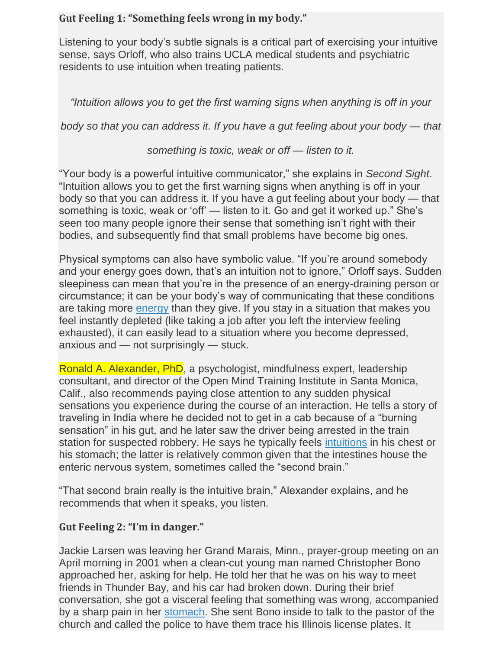#### **Gut Feeling 1: "Something feels wrong in my body."**

Listening to your body's subtle signals is a critical part of exercising your intuitive sense, says Orloff, who also trains UCLA medical students and psychiatric residents to use intuition when treating patients.

*"Intuition allows you to get the first warning signs when anything is off in your* 

*body so that you can address it. If you have a gut feeling about your body — that* 

*something is toxic, weak or off — listen to it.*

"Your body is a powerful intuitive communicator," she explains in *Second Sight*. "Intuition allows you to get the first warning signs when anything is off in your body so that you can address it. If you have a gut feeling about your body — that something is toxic, weak or 'off' — listen to it. Go and get it worked up." She's seen too many people ignore their sense that something isn't right with their bodies, and subsequently find that small problems have become big ones.

Physical symptoms can also have symbolic value. "If you're around somebody and your energy goes down, that's an intuition not to ignore," Orloff says. Sudden sleepiness can mean that you're in the presence of an energy-draining person or circumstance; it can be your body's way of communicating that these conditions are taking more [energy](https://experiencelife.com/article/elastic-energy/) than they give. If you stay in a situation that makes you feel instantly depleted (like taking a job after you left the interview feeling exhausted), it can easily lead to a situation where you become depressed, anxious and — not surprisingly — stuck.

Ronald A. Alexander, PhD, a psychologist, mindfulness expert, leadership consultant, and director of the Open Mind Training Institute in Santa Monica, Calif., also recommends paying close attention to any sudden physical sensations you experience during the course of an interaction. He tells a story of traveling in India where he decided not to get in a cab because of a "burning sensation" in his gut, and he later saw the driver being arrested in the train station for suspected robbery. He says he typically feels [intuitions](https://experiencelife.com/article/intuitive-training-for-fitness/) in his chest or his stomach; the latter is relatively common given that the intestines house the enteric nervous system, sometimes called the "second brain."

"That second brain really is the intuitive brain," Alexander explains, and he recommends that when it speaks, you listen.

# **Gut Feeling 2: "I'm in danger."**

Jackie Larsen was leaving her Grand Marais, Minn., prayer-group meeting on an April morning in 2001 when a clean-cut young man named Christopher Bono approached her, asking for help. He told her that he was on his way to meet friends in Thunder Bay, and his car had broken down. During their brief conversation, she got a visceral feeling that something was wrong, accompanied by a sharp pain in her [stomach.](https://experiencelife.com/article/gut-check/) She sent Bono inside to talk to the pastor of the church and called the police to have them trace his Illinois license plates. It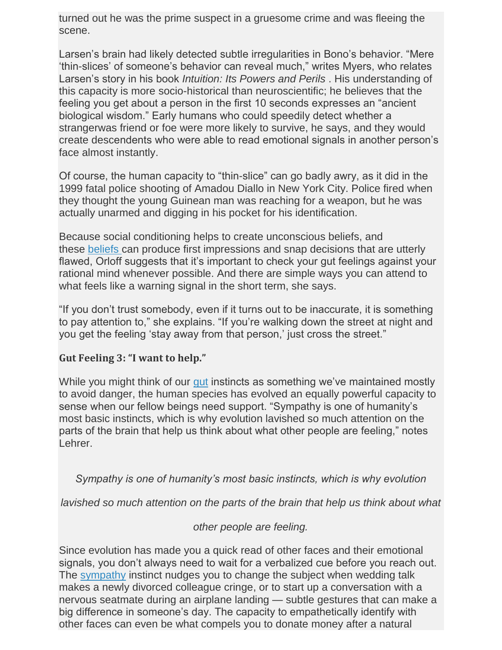turned out he was the prime suspect in a gruesome crime and was fleeing the scene.

Larsen's brain had likely detected subtle irregularities in Bono's behavior. "Mere 'thin-slices' of someone's behavior can reveal much," writes Myers, who relates Larsen's story in his book *Intuition: Its Powers and Perils* . His understanding of this capacity is more socio-historical than neuroscientific; he believes that the feeling you get about a person in the first 10 seconds expresses an "ancient biological wisdom." Early humans who could speedily detect whether a strangerwas friend or foe were more likely to survive, he says, and they would create descendents who were able to read emotional signals in another person's face almost instantly.

Of course, the human capacity to "thin-slice" can go badly awry, as it did in the 1999 fatal police shooting of Amadou Diallo in New York City. Police fired when they thought the young Guinean man was reaching for a weapon, but he was actually unarmed and digging in his pocket for his identification.

Because social conditioning helps to create unconscious beliefs, and these [beliefs](https://experiencelife.com/article/see-it-believe-it/) can produce first impressions and snap decisions that are utterly flawed, Orloff suggests that it's important to check your gut feelings against your rational mind whenever possible. And there are simple ways you can attend to what feels like a warning signal in the short term, she says.

"If you don't trust somebody, even if it turns out to be inaccurate, it is something to pay attention to," she explains. "If you're walking down the street at night and you get the feeling 'stay away from that person,' just cross the street."

# **Gut Feeling 3: "I want to help."**

While you might think of our [gut](https://experiencelife.com/article/functional-wellness-part-3-digestive-health/) instincts as something we've maintained mostly to avoid danger, the human species has evolved an equally powerful capacity to sense when our fellow beings need support. "Sympathy is one of humanity's most basic instincts, which is why evolution lavished so much attention on the parts of the brain that help us think about what other people are feeling," notes Lehrer.

*Sympathy is one of humanity's most basic instincts, which is why evolution* 

*lavished so much attention on the parts of the brain that help us think about what* 

# *other people are feeling.*

Since evolution has made you a quick read of other faces and their emotional signals, you don't always need to wait for a verbalized cue before you reach out. The [sympathy](https://experiencelife.com/article/the-art-of-condolence/) instinct nudges you to change the subject when wedding talk makes a newly divorced colleague cringe, or to start up a conversation with a nervous seatmate during an airplane landing — subtle gestures that can make a big difference in someone's day. The capacity to empathetically identify with other faces can even be what compels you to donate money after a natural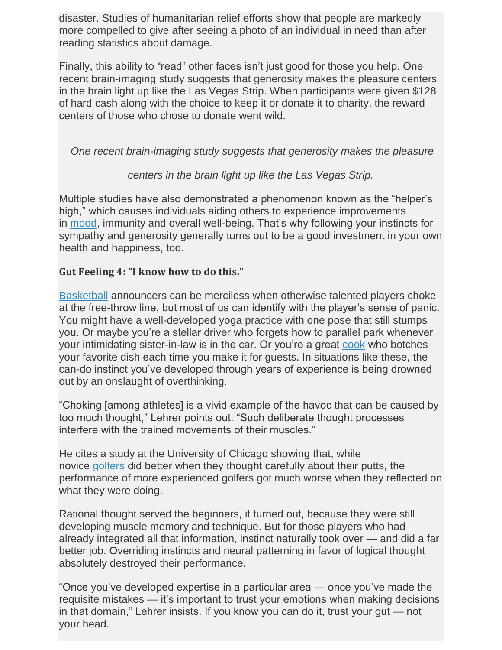disaster. Studies of humanitarian relief efforts show that people are markedly more compelled to give after seeing a photo of an individual in need than after reading statistics about damage.

Finally, this ability to "read" other faces isn't just good for those you help. One recent brain-imaging study suggests that generosity makes the pleasure centers in the brain light up like the Las Vegas Strip. When participants were given \$128 of hard cash along with the choice to keep it or donate it to charity, the reward centers of those who chose to donate went wild.

*One recent brain-imaging study suggests that generosity makes the pleasure* 

#### *centers in the brain light up like the Las Vegas Strip.*

Multiple studies have also demonstrated a phenomenon known as the "helper's high," which causes individuals aiding others to experience improvements in [mood,](https://experiencelife.com/article/the-food-mood-connection/) immunity and overall well-being. That's why following your instincts for sympathy and generosity generally turns out to be a good investment in your own health and happiness, too.

#### **Gut Feeling 4: "I know how to do this."**

[Basketball](https://experiencelife.com/article/pickup-basketball-artist/) announcers can be merciless when otherwise talented players choke at the free-throw line, but most of us can identify with the player's sense of panic. You might have a well-developed yoga practice with one pose that still stumps you. Or maybe you're a stellar driver who forgets how to parallel park whenever your intimidating sister-in-law is in the car. Or you're a great [cook](https://experiencelife.com/article/how-to-cook-kale/) who botches your favorite dish each time you make it for guests. In situations like these, the can-do instinct you've developed through years of experience is being drowned out by an onslaught of overthinking.

"Choking [among athletes] is a vivid example of the havoc that can be caused by too much thought," Lehrer points out. "Such deliberate thought processes interfere with the trained movements of their muscles."

He cites a study at the University of Chicago showing that, while novice [golfers](https://experiencelife.com/article/improve-your-golf-swing/) did better when they thought carefully about their putts, the performance of more experienced golfers got much worse when they reflected on what they were doing.

Rational thought served the beginners, it turned out, because they were still developing muscle memory and technique. But for those players who had already integrated all that information, instinct naturally took over — and did a far better job. Overriding instincts and neural patterning in favor of logical thought absolutely destroyed their performance.

"Once you've developed expertise in a particular area — once you've made the requisite mistakes — it's important to trust your emotions when making decisions in that domain," Lehrer insists. If you know you can do it, trust your gut — not your head.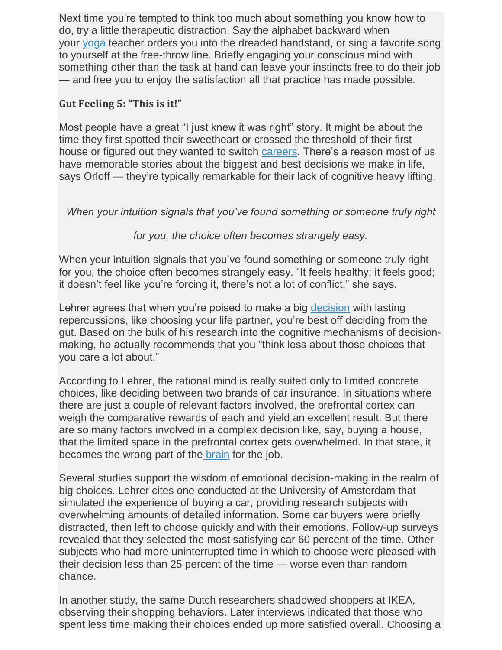Next time you're tempted to think too much about something you know how to do, try a little therapeutic distraction. Say the alphabet backward when your [yoga](https://experiencelife.com/article/yoga-4-you/) teacher orders you into the dreaded handstand, or sing a favorite song to yourself at the free-throw line. Briefly engaging your conscious mind with something other than the task at hand can leave your instincts free to do their job — and free you to enjoy the satisfaction all that practice has made possible.

#### **Gut Feeling 5: "This is it!"**

Most people have a great "I just knew it was right" story. It might be about the time they first spotted their sweetheart or crossed the threshold of their first house or figured out they wanted to switch [careers.](https://experiencelife.com/article/new-job-jitters/) There's a reason most of us have memorable stories about the biggest and best decisions we make in life, says Orloff — they're typically remarkable for their lack of cognitive heavy lifting.

# *When your intuition signals that you've found something or someone truly right*

# *for you, the choice often becomes strangely easy.*

When your intuition signals that you've found something or someone truly right for you, the choice often becomes strangely easy. "It feels healthy; it feels good; it doesn't feel like you're forcing it, there's not a lot of conflict," she says.

Lehrer agrees that when you're poised to make a big [decision](https://experiencelife.com/newsflashes/making-a-mindful-decision/) with lasting repercussions, like choosing your life partner, you're best off deciding from the gut. Based on the bulk of his research into the cognitive mechanisms of decisionmaking, he actually recommends that you "think less about those choices that you care a lot about."

According to Lehrer, the rational mind is really suited only to limited concrete choices, like deciding between two brands of car insurance. In situations where there are just a couple of relevant factors involved, the prefrontal cortex can weigh the comparative rewards of each and yield an excellent result. But there are so many factors involved in a complex decision like, say, buying a house, that the limited space in the prefrontal cortex gets overwhelmed. In that state, it becomes the wrong part of the [brain](https://experiencelife.com/article/overcoming-grain-brain/) for the job.

Several studies support the wisdom of emotional decision-making in the realm of big choices. Lehrer cites one conducted at the University of Amsterdam that simulated the experience of buying a car, providing research subjects with overwhelming amounts of detailed information. Some car buyers were briefly distracted, then left to choose quickly and with their emotions. Follow-up surveys revealed that they selected the most satisfying car 60 percent of the time. Other subjects who had more uninterrupted time in which to choose were pleased with their decision less than 25 percent of the time — worse even than random chance.

In another study, the same Dutch researchers shadowed shoppers at IKEA, observing their shopping behaviors. Later interviews indicated that those who spent less time making their choices ended up more satisfied overall. Choosing a